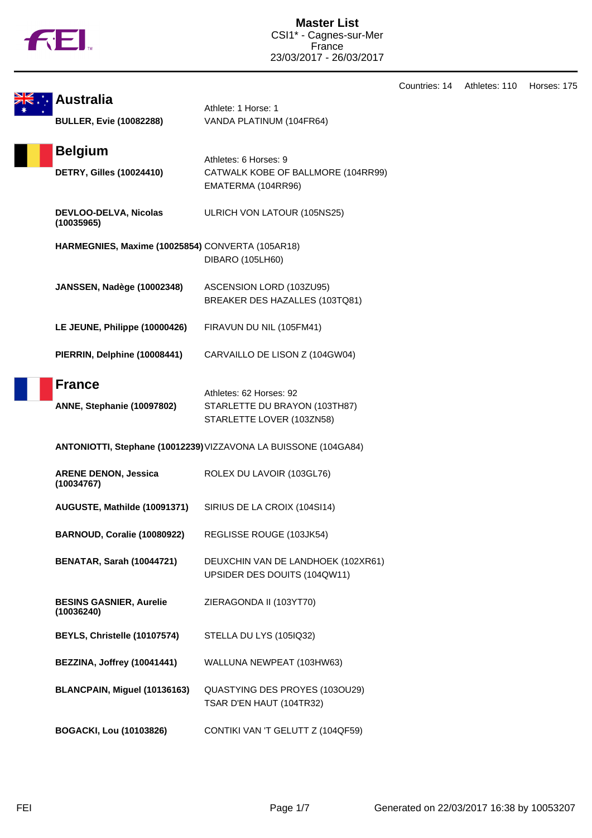

Countries: 14 Athletes: 110 Horses: 175

| <b>Australia</b>                                 | Athlete: 1 Horse: 1                                                                   |
|--------------------------------------------------|---------------------------------------------------------------------------------------|
| <b>BULLER, Evie (10082288)</b>                   | VANDA PLATINUM (104FR64)                                                              |
| <b>Belgium</b>                                   |                                                                                       |
| <b>DETRY, Gilles (10024410)</b>                  | Athletes: 6 Horses: 9<br>CATWALK KOBE OF BALLMORE (104RR99)<br>EMATERMA (104RR96)     |
| DEVLOO-DELVA, Nicolas<br>(10035965)              | ULRICH VON LATOUR (105NS25)                                                           |
| HARMEGNIES, Maxime (10025854) CONVERTA (105AR18) | DIBARO (105LH60)                                                                      |
| <b>JANSSEN, Nadège (10002348)</b>                | ASCENSION LORD (103ZU95)<br>BREAKER DES HAZALLES (103TQ81)                            |
| LE JEUNE, Philippe (10000426)                    | FIRAVUN DU NIL (105FM41)                                                              |
| PIERRIN, Delphine (10008441)                     | CARVAILLO DE LISON Z (104GW04)                                                        |
| <b>France</b>                                    |                                                                                       |
| ANNE, Stephanie (10097802)                       | Athletes: 62 Horses: 92<br>STARLETTE DU BRAYON (103TH87)<br>STARLETTE LOVER (103ZN58) |
|                                                  | ANTONIOTTI, Stephane (10012239) VIZZAVONA LA BUISSONE (104GA84)                       |
| <b>ARENE DENON, Jessica</b><br>(10034767)        | ROLEX DU LAVOIR (103GL76)                                                             |
| AUGUSTE, Mathilde (10091371)                     | SIRIUS DE LA CROIX (104SI14)                                                          |
| BARNOUD, Coralie (10080922)                      | REGLISSE ROUGE (103JK54)                                                              |
| <b>BENATAR, Sarah (10044721)</b>                 | DEUXCHIN VAN DE LANDHOEK (102XR61)<br>UPSIDER DES DOUITS (104QW11)                    |
| <b>BESINS GASNIER, Aurelie</b><br>(10036240)     | ZIERAGONDA II (103YT70)                                                               |
| BEYLS, Christelle (10107574)                     | STELLA DU LYS (105IQ32)                                                               |
| BEZZINA, Joffrey (10041441)                      | WALLUNA NEWPEAT (103HW63)                                                             |
| BLANCPAIN, Miguel (10136163)                     | QUASTYING DES PROYES (103OU29)<br>TSAR D'EN HAUT (104TR32)                            |
| <b>BOGACKI, Lou (10103826)</b>                   | CONTIKI VAN 'T GELUTT Z (104QF59)                                                     |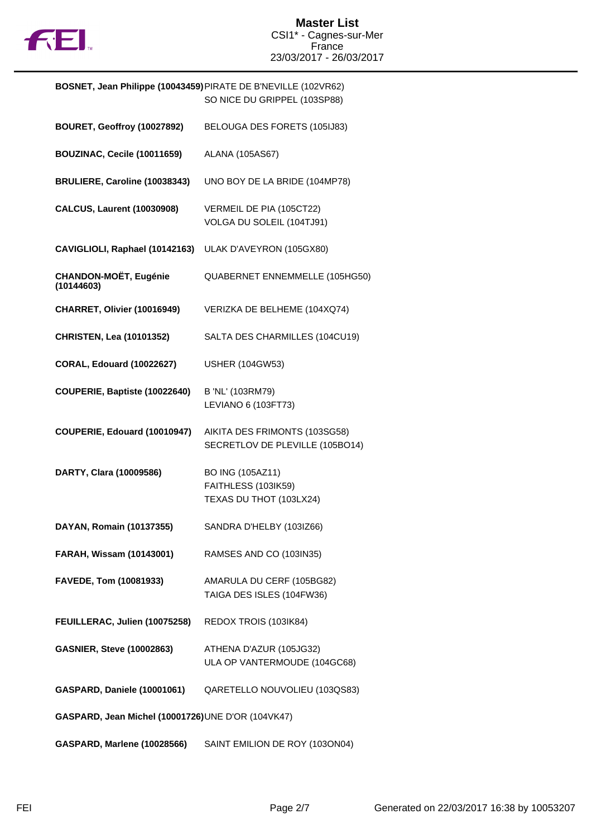

| BOSNET, Jean Philippe (10043459) PIRATE DE B'NEVILLE (102VR62) |
|----------------------------------------------------------------|
| SO NICE DU GRIPPEL (103SP88)                                   |

| BOURET, Geoffroy (10027892)                       | BELOUGA DES FORETS (105IJ83)                                              |  |
|---------------------------------------------------|---------------------------------------------------------------------------|--|
| BOUZINAC, Cecile (10011659)                       | ALANA (105AS67)                                                           |  |
| BRULIERE, Caroline (10038343)                     | UNO BOY DE LA BRIDE (104MP78)                                             |  |
| <b>CALCUS, Laurent (10030908)</b>                 | VERMEIL DE PIA (105CT22)<br>VOLGA DU SOLEIL (104TJ91)                     |  |
| CAVIGLIOLI, Raphael (10142163)                    | ULAK D'AVEYRON (105GX80)                                                  |  |
| <b>CHANDON-MOËT, Eugénie</b><br>(10144603)        | QUABERNET ENNEMMELLE (105HG50)                                            |  |
| CHARRET, Olivier (10016949)                       | VERIZKA DE BELHEME (104XQ74)                                              |  |
| <b>CHRISTEN, Lea (10101352)</b>                   | SALTA DES CHARMILLES (104CU19)                                            |  |
| <b>CORAL, Edouard (10022627)</b>                  | <b>USHER (104GW53)</b>                                                    |  |
| COUPERIE, Baptiste (10022640)                     | B 'NL' (103RM79)<br>LEVIANO 6 (103FT73)                                   |  |
| COUPERIE, Edouard (10010947)                      | AIKITA DES FRIMONTS (103SG58)<br>SECRETLOV DE PLEVILLE (105BO14)          |  |
| DARTY, Clara (10009586)                           | <b>BO ING (105AZ11)</b><br>FAITHLESS (103IK59)<br>TEXAS DU THOT (103LX24) |  |
| DAYAN, Romain (10137355)                          | SANDRA D'HELBY (103IZ66)                                                  |  |
| FARAH, Wissam (10143001)                          | RAMSES AND CO (103IN35)                                                   |  |
| FAVEDE, Tom (10081933)                            | AMARULA DU CERF (105BG82)<br>TAIGA DES ISLES (104FW36)                    |  |
| FEUILLERAC, Julien (10075258)                     | REDOX TROIS (103IK84)                                                     |  |
| <b>GASNIER, Steve (10002863)</b>                  | ATHENA D'AZUR (105JG32)<br>ULA OP VANTERMOUDE (104GC68)                   |  |
| GASPARD, Daniele (10001061)                       | QARETELLO NOUVOLIEU (103QS83)                                             |  |
| GASPARD, Jean Michel (10001726)UNE D'OR (104VK47) |                                                                           |  |
| <b>GASPARD, Marlene (10028566)</b>                | SAINT EMILION DE ROY (1030N04)                                            |  |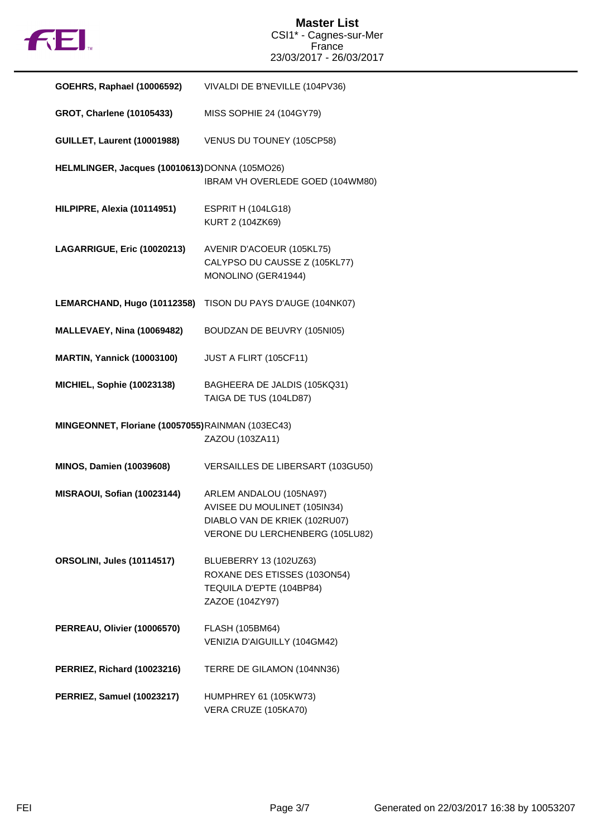

| <b>GOEHRS, Raphael (10006592)</b>                | VIVALDI DE B'NEVILLE (104PV36)                                                                                              |
|--------------------------------------------------|-----------------------------------------------------------------------------------------------------------------------------|
| <b>GROT, Charlene (10105433)</b>                 | MISS SOPHIE 24 (104GY79)                                                                                                    |
| <b>GUILLET, Laurent (10001988)</b>               | VENUS DU TOUNEY (105CP58)                                                                                                   |
| HELMLINGER, Jacques (10010613) DONNA (105MO26)   | IBRAM VH OVERLEDE GOED (104WM80)                                                                                            |
| HILPIPRE, Alexia (10114951)                      | ESPRIT H (104LG18)<br>KURT 2 (104ZK69)                                                                                      |
| LAGARRIGUE, Eric (10020213)                      | AVENIR D'ACOEUR (105KL75)<br>CALYPSO DU CAUSSE Z (105KL77)<br>MONOLINO (GER41944)                                           |
| LEMARCHAND, Hugo (10112358)                      | TISON DU PAYS D'AUGE (104NK07)                                                                                              |
| <b>MALLEVAEY, Nina (10069482)</b>                | BOUDZAN DE BEUVRY (105NI05)                                                                                                 |
| <b>MARTIN, Yannick (10003100)</b>                | JUST A FLIRT (105CF11)                                                                                                      |
| <b>MICHIEL, Sophie (10023138)</b>                | BAGHEERA DE JALDIS (105KQ31)<br>TAIGA DE TUS (104LD87)                                                                      |
| MINGEONNET, Floriane (10057055)RAINMAN (103EC43) | ZAZOU (103ZA11)                                                                                                             |
| <b>MINOS, Damien (10039608)</b>                  | VERSAILLES DE LIBERSART (103GU50)                                                                                           |
| MISRAOUI, Sofian (10023144)                      | ARLEM ANDALOU (105NA97)<br>AVISEE DU MOULINET (105IN34)<br>DIABLO VAN DE KRIEK (102RU07)<br>VERONE DU LERCHENBERG (105LU82) |
| <b>ORSOLINI, Jules (10114517)</b>                | BLUEBERRY 13 (102UZ63)<br>ROXANE DES ETISSES (103ON54)<br>TEQUILA D'EPTE (104BP84)<br>ZAZOE (104ZY97)                       |
| PERREAU, Olivier (10006570)                      | FLASH (105BM64)<br>VENIZIA D'AIGUILLY (104GM42)                                                                             |
| PERRIEZ, Richard (10023216)                      | TERRE DE GILAMON (104NN36)                                                                                                  |
| <b>PERRIEZ, Samuel (10023217)</b>                | <b>HUMPHREY 61 (105KW73)</b><br>VERA CRUZE (105KA70)                                                                        |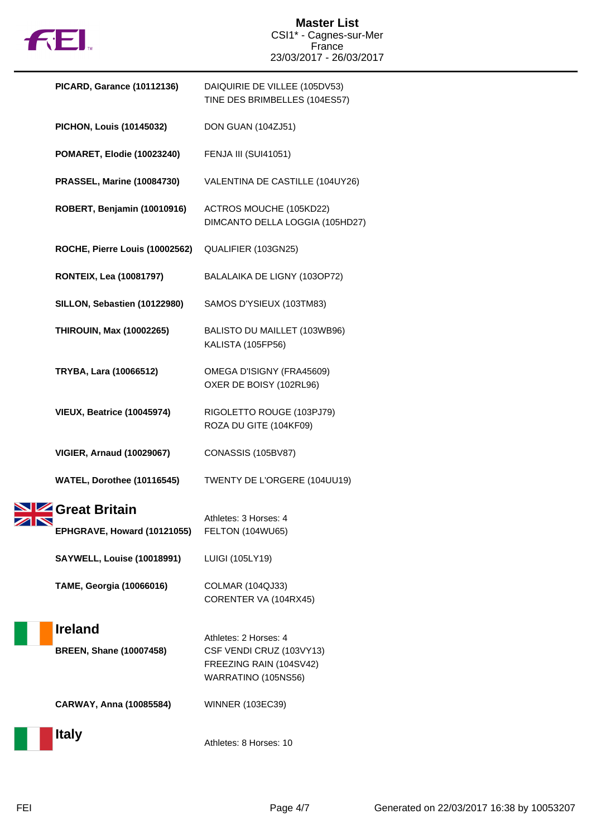

|    | <b>PICARD, Garance (10112136)</b>                | DAIQUIRIE DE VILLEE (105DV53)<br>TINE DES BRIMBELLES (104ES57)                                      |
|----|--------------------------------------------------|-----------------------------------------------------------------------------------------------------|
|    | <b>PICHON, Louis (10145032)</b>                  | DON GUAN (104ZJ51)                                                                                  |
|    | <b>POMARET, Elodie (10023240)</b>                | <b>FENJA III (SUI41051)</b>                                                                         |
|    | <b>PRASSEL, Marine (10084730)</b>                | VALENTINA DE CASTILLE (104UY26)                                                                     |
|    | ROBERT, Benjamin (10010916)                      | ACTROS MOUCHE (105KD22)<br>DIMCANTO DELLA LOGGIA (105HD27)                                          |
|    | ROCHE, Pierre Louis (10002562)                   | QUALIFIER (103GN25)                                                                                 |
|    | <b>RONTEIX, Lea (10081797)</b>                   | BALALAIKA DE LIGNY (103OP72)                                                                        |
|    | SILLON, Sebastien (10122980)                     | SAMOS D'YSIEUX (103TM83)                                                                            |
|    | <b>THIROUIN, Max (10002265)</b>                  | BALISTO DU MAILLET (103WB96)<br><b>KALISTA (105FP56)</b>                                            |
|    | TRYBA, Lara (10066512)                           | OMEGA D'ISIGNY (FRA45609)<br>OXER DE BOISY (102RL96)                                                |
|    | VIEUX, Beatrice (10045974)                       | RIGOLETTO ROUGE (103PJ79)<br>ROZA DU GITE (104KF09)                                                 |
|    | <b>VIGIER, Arnaud (10029067)</b>                 | CONASSIS (105BV87)                                                                                  |
|    | WATEL, Dorothee (10116545)                       | TWENTY DE L'ORGERE (104UU19)                                                                        |
| ZN | SIZ Great Britain<br>EPHGRAVE, Howard (10121055) | Athletes: 3 Horses: 4<br>FELTON (104WU65)                                                           |
|    | <b>SAYWELL, Louise (10018991)</b>                | LUIGI (105LY19)                                                                                     |
|    | TAME, Georgia (10066016)                         | <b>COLMAR (104QJ33)</b><br>CORENTER VA (104RX45)                                                    |
|    | <b>Ireland</b><br><b>BREEN, Shane (10007458)</b> | Athletes: 2 Horses: 4<br>CSF VENDI CRUZ (103VY13)<br>FREEZING RAIN (104SV42)<br>WARRATINO (105NS56) |
|    | CARWAY, Anna (10085584)                          | <b>WINNER (103EC39)</b>                                                                             |
|    | <b>Italy</b>                                     | Athletes: 8 Horses: 10                                                                              |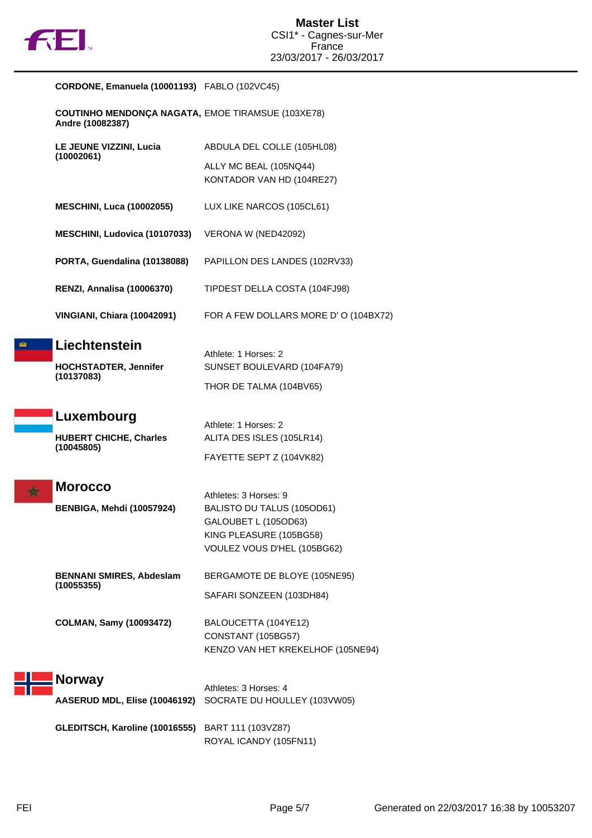

**CORDONE, Emanuela (10001193)** FABLO (102VC45)

| <b>COUTINHO MENDONÇA NAGATA, EMOE TIRAMSUE (103XE78)</b><br>Andre (10082387) |                                                        |
|------------------------------------------------------------------------------|--------------------------------------------------------|
| LE JEUNE VIZZINI, Lucia                                                      | ABDULA DEL COLLE (105HL08)                             |
| (10002061)                                                                   | ALLY MC BEAL (105NQ44)                                 |
|                                                                              | KONTADOR VAN HD (104RE27)                              |
| <b>MESCHINI, Luca (10002055)</b>                                             | LUX LIKE NARCOS (105CL61)                              |
| MESCHINI, Ludovica (10107033)                                                | VERONA W (NED42092)                                    |
| PORTA, Guendalina (10138088)                                                 | PAPILLON DES LANDES (102RV33)                          |
| <b>RENZI, Annalisa (10006370)</b>                                            | TIPDEST DELLA COSTA (104FJ98)                          |
| VINGIANI, Chiara (10042091)                                                  | FOR A FEW DOLLARS MORE D' O (104BX72)                  |
| Liechtenstein                                                                | Athlete: 1 Horses: 2                                   |
| <b>HOCHSTADTER, Jennifer</b>                                                 | SUNSET BOULEVARD (104FA79)                             |
| (10137083)                                                                   | THOR DE TALMA (104BV65)                                |
|                                                                              |                                                        |
| Luxembourg                                                                   |                                                        |
|                                                                              | Athlete: 1 Horses: 2                                   |
| <b>HUBERT CHICHE, Charles</b><br>(10045805)                                  | ALITA DES ISLES (105LR14)                              |
|                                                                              | FAYETTE SEPT Z (104VK82)                               |
|                                                                              |                                                        |
| <b>Morocco</b>                                                               | Athletes: 3 Horses: 9                                  |
| BENBIGA, Mehdi (10057924)                                                    | BALISTO DU TALUS (105OD61)                             |
|                                                                              | GALOUBET L (105OD63)                                   |
|                                                                              | KING PLEASURE (105BG58)<br>VOULEZ VOUS D'HEL (105BG62) |
|                                                                              |                                                        |
| <b>BENNANI SMIRES, Abdeslam</b>                                              | BERGAMOTE DE BLOYE (105NE95)                           |
| (10055355)                                                                   | SAFARI SONZEEN (103DH84)                               |
|                                                                              |                                                        |
| <b>COLMAN, Samy (10093472)</b>                                               | BALOUCETTA (104YE12)<br>CONSTANT (105BG57)             |
|                                                                              | KENZO VAN HET KREKELHOF (105NE94)                      |
|                                                                              |                                                        |
| <b>Norway</b>                                                                | Athletes: 3 Horses: 4                                  |
| AASERUD MDL, Elise (10046192)                                                | SOCRATE DU HOULLEY (103VW05)                           |
|                                                                              |                                                        |
| GLEDITSCH, Karoline (10016555) BART 111 (103VZ87)                            | ROYAL ICANDY (105FN11)                                 |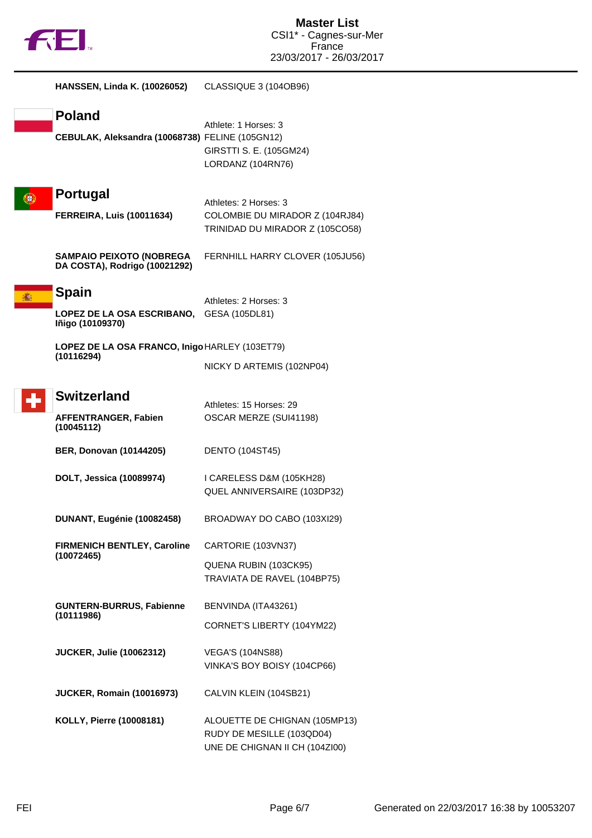

| <b>HANSSEN, Linda K. (10026052)</b>                                                                                     | CLASSIQUE 3 (104OB96)                                                                        |
|-------------------------------------------------------------------------------------------------------------------------|----------------------------------------------------------------------------------------------|
| <b>Poland</b><br>CEBULAK, Aleksandra (10068738) FELINE (105GN12)                                                        | Athlete: 1 Horses: 3<br>GIRSTTI S. E. (105GM24)<br>LORDANZ (104RN76)                         |
| Portugal<br><b>FERREIRA, Luis (10011634)</b>                                                                            | Athletes: 2 Horses: 3<br>COLOMBIE DU MIRADOR Z (104RJ84)<br>TRINIDAD DU MIRADOR Z (105CO58)  |
| <b>SAMPAIO PEIXOTO (NOBREGA</b><br>DA COSTA), Rodrigo (10021292)                                                        | FERNHILL HARRY CLOVER (105JU56)                                                              |
| <b>Spain</b><br><b>LOPEZ DE LA OSA ESCRIBANO,</b><br>Iñigo (10109370)<br>LOPEZ DE LA OSA FRANCO, Inigo HARLEY (103ET79) | Athletes: 2 Horses: 3<br>GESA (105DL81)                                                      |
| (10116294)                                                                                                              | NICKY D ARTEMIS (102NP04)                                                                    |
| <b>Switzerland</b><br><b>AFFENTRANGER, Fabien</b><br>(10045112)                                                         | Athletes: 15 Horses: 29<br>OSCAR MERZE (SUI41198)                                            |
| <b>BER, Donovan (10144205)</b>                                                                                          | <b>DENTO (104ST45)</b>                                                                       |
| DOLT, Jessica (10089974)                                                                                                | I CARELESS D&M (105KH28)<br>QUEL ANNIVERSAIRE (103DP32)                                      |
| DUNANT, Eugénie (10082458)                                                                                              | BROADWAY DO CABO (103XI29)                                                                   |
| <b>FIRMENICH BENTLEY, Caroline</b><br>(10072465)                                                                        | CARTORIE (103VN37)<br>QUENA RUBIN (103CK95)<br>TRAVIATA DE RAVEL (104BP75)                   |
| <b>GUNTERN-BURRUS, Fabienne</b><br>(10111986)                                                                           | BENVINDA (ITA43261)<br>CORNET'S LIBERTY (104YM22)                                            |
| <b>JUCKER, Julie (10062312)</b>                                                                                         | <b>VEGA'S (104NS88)</b><br>VINKA'S BOY BOISY (104CP66)                                       |
| <b>JUCKER, Romain (10016973)</b>                                                                                        | CALVIN KLEIN (104SB21)                                                                       |
| KOLLY, Pierre (10008181)                                                                                                | ALOUETTE DE CHIGNAN (105MP13)<br>RUDY DE MESILLE (103QD04)<br>UNE DE CHIGNAN II CH (104ZI00) |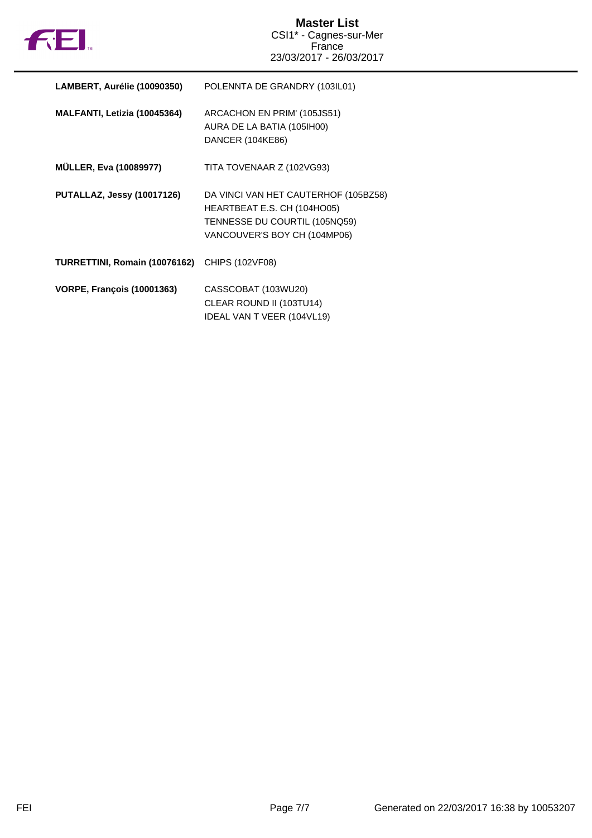

| LAMBERT, Aurélie (10090350)       | POLENNTA DE GRANDRY (103IL01)                                                                                                        |
|-----------------------------------|--------------------------------------------------------------------------------------------------------------------------------------|
| MALFANTI, Letizia (10045364)      | ARCACHON EN PRIM' (105JS51)<br>AURA DE LA BATIA (105IH00)<br>DANCER (104KE86)                                                        |
| <b>MÜLLER, Eva (10089977)</b>     | TITA TOVENAAR Z (102VG93)                                                                                                            |
| <b>PUTALLAZ, Jessy (10017126)</b> | DA VINCI VAN HET CAUTERHOF (105BZ58)<br>HEARTBEAT E.S. CH (104HO05)<br>TENNESSE DU COURTIL (105NQ59)<br>VANCOUVER'S BOY CH (104MP06) |
| TURRETTINI, Romain (10076162)     | CHIPS (102VF08)                                                                                                                      |
| <b>VORPE, François (10001363)</b> | CASSCOBAT (103WU20)<br>CLEAR ROUND II (103TU14)<br>IDEAL VAN T VEER (104VL19)                                                        |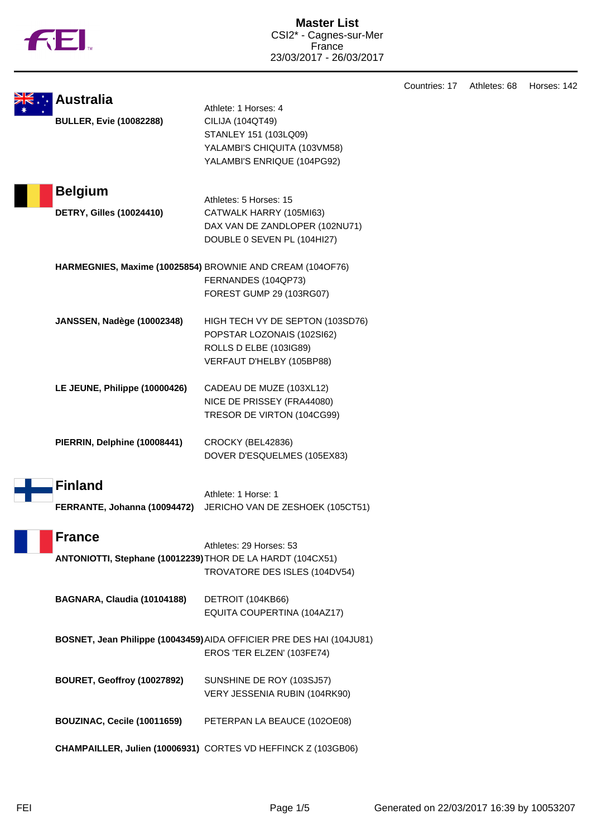|  | ΤM |
|--|----|
|  |    |

Countries: 17 Athletes: 68 Horses: 142

| <b>Australia</b>                                           |                                                                      |
|------------------------------------------------------------|----------------------------------------------------------------------|
|                                                            | Athlete: 1 Horses: 4                                                 |
| <b>BULLER, Evie (10082288)</b>                             | CILIJA (104QT49)                                                     |
|                                                            | STANLEY 151 (103LQ09)                                                |
|                                                            | YALAMBI'S CHIQUITA (103VM58)                                         |
|                                                            | YALAMBI'S ENRIQUE (104PG92)                                          |
| <b>Belgium</b>                                             |                                                                      |
|                                                            | Athletes: 5 Horses: 15                                               |
| <b>DETRY, Gilles (10024410)</b>                            | CATWALK HARRY (105MI63)                                              |
|                                                            | DAX VAN DE ZANDLOPER (102NU71)                                       |
|                                                            | DOUBLE 0 SEVEN PL (104HI27)                                          |
|                                                            | HARMEGNIES, Maxime (10025854) BROWNIE AND CREAM (104OF76)            |
|                                                            | FERNANDES (104QP73)                                                  |
|                                                            | FOREST GUMP 29 (103RG07)                                             |
| <b>JANSSEN, Nadège (10002348)</b>                          | HIGH TECH VY DE SEPTON (103SD76)                                     |
|                                                            | POPSTAR LOZONAIS (102SI62)                                           |
|                                                            | ROLLS D ELBE (103IG89)                                               |
|                                                            | VERFAUT D'HELBY (105BP88)                                            |
|                                                            |                                                                      |
| LE JEUNE, Philippe (10000426)                              | CADEAU DE MUZE (103XL12)                                             |
|                                                            | NICE DE PRISSEY (FRA44080)                                           |
|                                                            | TRESOR DE VIRTON (104CG99)                                           |
|                                                            |                                                                      |
| PIERRIN, Delphine (10008441)                               | CROCKY (BEL42836)<br>DOVER D'ESQUELMES (105EX83)                     |
|                                                            |                                                                      |
| <b>Finland</b>                                             |                                                                      |
|                                                            | Athlete: 1 Horse: 1                                                  |
| FERRANTE, Johanna (10094472)                               | JERICHO VAN DE ZESHOEK (105CT51)                                     |
| <b>France</b>                                              |                                                                      |
|                                                            | Athletes: 29 Horses: 53                                              |
| ANTONIOTTI, Stephane (10012239) THOR DE LA HARDT (104CX51) |                                                                      |
|                                                            | TROVATORE DES ISLES (104DV54)                                        |
| BAGNARA, Claudia (10104188)                                | DETROIT (104KB66)                                                    |
|                                                            | EQUITA COUPERTINA (104AZ17)                                          |
|                                                            | BOSNET, Jean Philippe (10043459) AIDA OFFICIER PRE DES HAI (104JU81) |
|                                                            | EROS 'TER ELZEN' (103FE74)                                           |
|                                                            |                                                                      |
| BOURET, Geoffroy (10027892)                                | SUNSHINE DE ROY (103SJ57)                                            |
|                                                            | VERY JESSENIA RUBIN (104RK90)                                        |
| BOUZINAC, Cecile (10011659)                                | PETERPAN LA BEAUCE (1020E08)                                         |
|                                                            |                                                                      |
|                                                            | CHAMPAILLER, Julien (10006931) CORTES VD HEFFINCK Z (103GB06)        |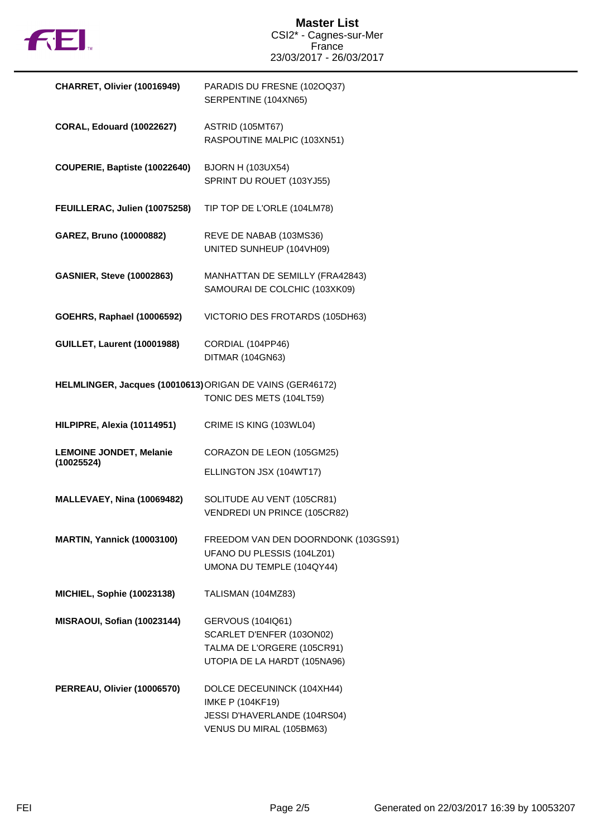

| CHARRET, Olivier (10016949)                               | PARADIS DU FRESNE (1020Q37)<br>SERPENTINE (104XN65)                                                           |
|-----------------------------------------------------------|---------------------------------------------------------------------------------------------------------------|
| <b>CORAL, Edouard (10022627)</b>                          | ASTRID (105MT67)<br>RASPOUTINE MALPIC (103XN51)                                                               |
| COUPERIE, Baptiste (10022640)                             | <b>BJORN H (103UX54)</b><br>SPRINT DU ROUET (103YJ55)                                                         |
| FEUILLERAC, Julien (10075258)                             | TIP TOP DE L'ORLE (104LM78)                                                                                   |
| GAREZ, Bruno (10000882)                                   | REVE DE NABAB (103MS36)<br>UNITED SUNHEUP (104VH09)                                                           |
| <b>GASNIER, Steve (10002863)</b>                          | MANHATTAN DE SEMILLY (FRA42843)<br>SAMOURAI DE COLCHIC (103XK09)                                              |
| <b>GOEHRS, Raphael (10006592)</b>                         | VICTORIO DES FROTARDS (105DH63)                                                                               |
| <b>GUILLET, Laurent (10001988)</b>                        | CORDIAL (104PP46)<br>DITMAR (104GN63)                                                                         |
| HELMLINGER, Jacques (10010613) ORIGAN DE VAINS (GER46172) | TONIC DES METS (104LT59)                                                                                      |
| HILPIPRE, Alexia (10114951)                               | CRIME IS KING (103WL04)                                                                                       |
| <b>LEMOINE JONDET, Melanie</b><br>(10025524)              | CORAZON DE LEON (105GM25)<br>ELLINGTON JSX (104WT17)                                                          |
| MALLEVAEY, Nina (10069482)                                | SOLITUDE AU VENT (105CR81)<br>VENDREDI UN PRINCE (105CR82)                                                    |
| <b>MARTIN, Yannick (10003100)</b>                         | FREEDOM VAN DEN DOORNDONK (103GS91)<br>UFANO DU PLESSIS (104LZ01)<br>UMONA DU TEMPLE (104QY44)                |
| <b>MICHIEL, Sophie (10023138)</b>                         | TALISMAN (104MZ83)                                                                                            |
| MISRAOUI, Sofian (10023144)                               | GERVOUS (104IQ61)<br>SCARLET D'ENFER (103ON02)<br>TALMA DE L'ORGERE (105CR91)<br>UTOPIA DE LA HARDT (105NA96) |
| PERREAU, Olivier (10006570)                               | DOLCE DECEUNINCK (104XH44)<br>IMKE P (104KF19)<br>JESSI D'HAVERLANDE (104RS04)<br>VENUS DU MIRAL (105BM63)    |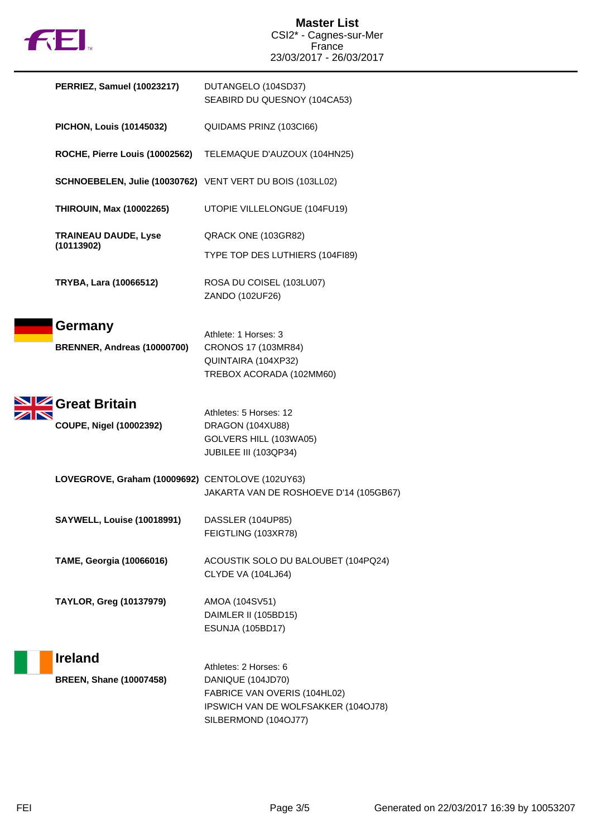

| <b>PERRIEZ, Samuel (10023217)</b>                         | DUTANGELO (104SD37)<br>SEABIRD DU QUESNOY (104CA53)                                                                                       |
|-----------------------------------------------------------|-------------------------------------------------------------------------------------------------------------------------------------------|
| <b>PICHON, Louis (10145032)</b>                           | QUIDAMS PRINZ (103CI66)                                                                                                                   |
| ROCHE, Pierre Louis (10002562)                            | TELEMAQUE D'AUZOUX (104HN25)                                                                                                              |
| SCHNOEBELEN, Julie (10030762) VENT VERT DU BOIS (103LL02) |                                                                                                                                           |
| <b>THIROUIN, Max (10002265)</b>                           | UTOPIE VILLELONGUE (104FU19)                                                                                                              |
| <b>TRAINEAU DAUDE, Lyse</b><br>(10113902)                 | QRACK ONE (103GR82)<br>TYPE TOP DES LUTHIERS (104F189)                                                                                    |
| TRYBA, Lara (10066512)                                    | ROSA DU COISEL (103LU07)<br>ZANDO (102UF26)                                                                                               |
| Germany<br>BRENNER, Andreas (10000700)                    | Athlete: 1 Horses: 3<br>CRONOS 17 (103MR84)<br>QUINTAIRA (104XP32)<br>TREBOX ACORADA (102MM60)                                            |
| Great Britain<br>COUPE, Nigel (10002392)                  | Athletes: 5 Horses: 12<br>DRAGON (104XU88)<br>GOLVERS HILL (103WA05)<br>JUBILEE III (103QP34)                                             |
| LOVEGROVE, Graham (10009692) CENTOLOVE (102UY63)          | JAKARTA VAN DE ROSHOEVE D'14 (105GB67)                                                                                                    |
| <b>SAYWELL, Louise (10018991)</b>                         | DASSLER (104UP85)<br>FEIGTLING (103XR78)                                                                                                  |
| <b>TAME, Georgia (10066016)</b>                           | ACOUSTIK SOLO DU BALOUBET (104PQ24)<br>CLYDE VA (104LJ64)                                                                                 |
| TAYLOR, Greg (10137979)                                   | AMOA (104SV51)<br>DAIMLER II (105BD15)<br><b>ESUNJA (105BD17)</b>                                                                         |
| <b>Ireland</b><br><b>BREEN, Shane (10007458)</b>          | Athletes: 2 Horses: 6<br>DANIQUE (104JD70)<br>FABRICE VAN OVERIS (104HL02)<br>IPSWICH VAN DE WOLFSAKKER (104OJ78)<br>SILBERMOND (104OJ77) |

 $\sum_{i=1}^{N}$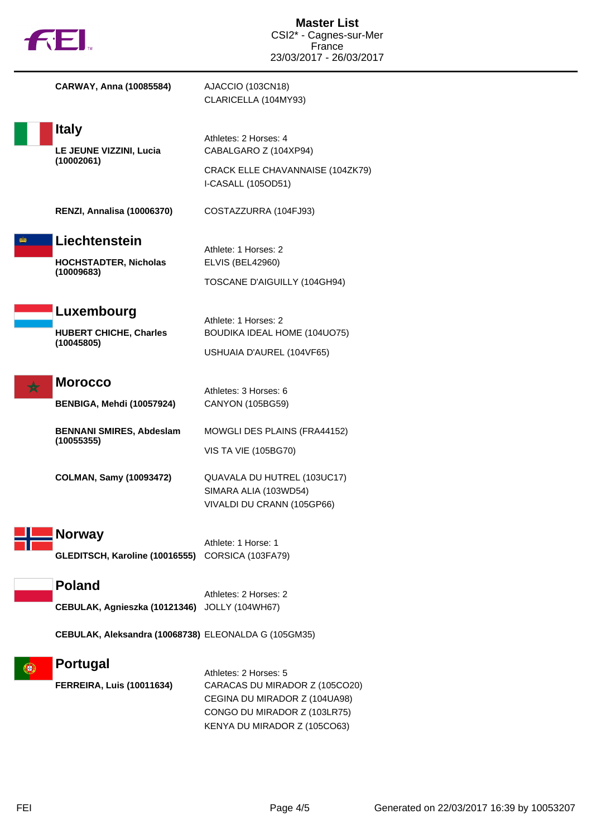

**CARWAY, Anna (10085584)** AJACCIO (103CN18)

CLARICELLA (104MY93)

# **Italy LE JEUNE VIZZINI, Lucia**

**(10002061)**

Athletes: 2 Horses: 4 CABALGARO Z (104XP94)

CRACK ELLE CHAVANNAISE (104ZK79) I-CASALL (105OD51)

**RENZI, Annalisa (10006370)** COSTAZZURRA (104FJ93)

**Liechtenstein**

Athlete: 1 Horses: 2 **HOCHSTADTER, Nicholas**

ELVIS (BEL42960) TOSCANE D'AIGUILLY (104GH94)



**(10009683)**

**HUBERT CHICHE, Charles (10045805)**

Athlete: 1 Horses: 2 BOUDIKA IDEAL HOME (104UO75)

USHUAIA D'AUREL (104VF65)



### **Morocco**

**BENBIGA, Mehdi (10057924)** CANYON (105BG59)

**BENNANI SMIRES, Abdeslam (10055355)**

VIS TA VIE (105BG70)

Athletes: 3 Horses: 6

**COLMAN, Samy (10093472)** QUAVALA DU HUTREL (103UC17) SIMARA ALIA (103WD54) VIVALDI DU CRANN (105GP66)

MOWGLI DES PLAINS (FRA44152)

# **Norway**

Athlete: 1 Horse: 1 **GLEDITSCH, Karoline (10016555)** CORSICA (103FA79)

## **Poland**

Athletes: 2 Horses: 2 **CEBULAK, Agnieszka (10121346)** JOLLY (104WH67)

**CEBULAK, Aleksandra (10068738)** ELEONALDA G (105GM35)

## **Portugal**

Athletes: 2 Horses: 5 **FERREIRA, Luis (10011634)** CARACAS DU MIRADOR Z (105CO20) CEGINA DU MIRADOR Z (104UA98) CONGO DU MIRADOR Z (103LR75) KENYA DU MIRADOR Z (105CO63)